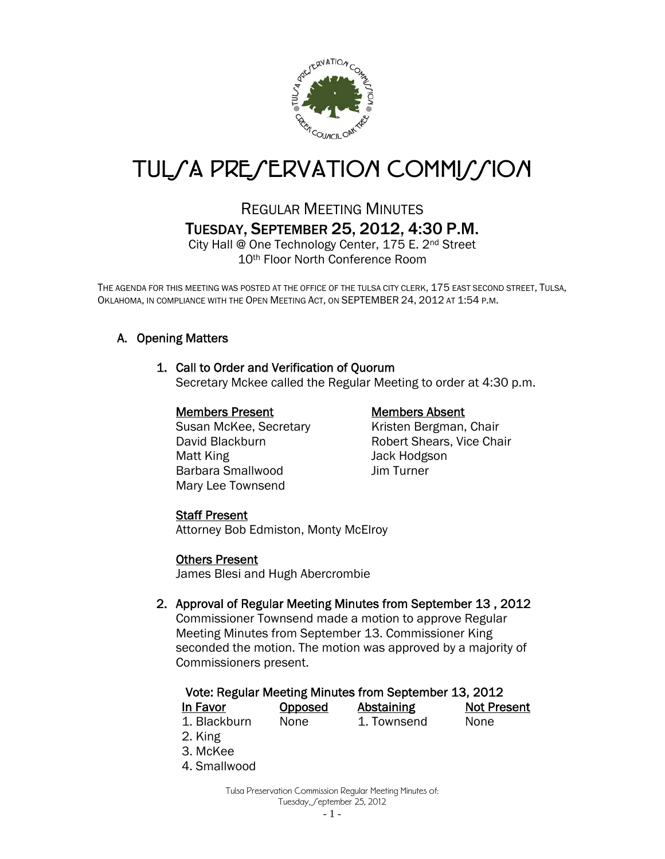

# TUL*SA PRESERVATION COMMISSION*

## REGULAR MEETING MINUTES TUESDAY, SEPTEMBER 25, 2012, 4:30 P.M.

City Hall @ One Technology Center, 175 E. 2nd Street 10th Floor North Conference Room

THE AGENDA FOR THIS MEETING WAS POSTED AT THE OFFICE OF THE TULSA CITY CLERK, 175 EAST SECOND STREET, TULSA, OKLAHOMA, IN COMPLIANCE WITH THE OPEN MEETING ACT, ON SEPTEMBER 24, 2012 AT 1:54 P.M.

### A. Opening Matters

#### 1. Call to Order and Verification of Quorum

Secretary Mckee called the Regular Meeting to order at 4:30 p.m.

#### Members Present Members Absent

Susan McKee, Secretary Kristen Bergman, Chair Matt King **Matt King Jack Hodgson** Barbara Smallwood Jim Turner Mary Lee Townsend

David Blackburn **Robert Shears, Vice Chair** 

#### Staff Present

Attorney Bob Edmiston, Monty McElroy

#### Others Present

James Blesi and Hugh Abercrombie

#### 2. Approval of Regular Meeting Minutes from September 13 , 2012

Commissioner Townsend made a motion to approve Regular Meeting Minutes from September 13. Commissioner King seconded the motion. The motion was approved by a majority of Commissioners present.

### Vote: Regular Meeting Minutes from September 13, 2012

| In Favor     | <b>Opposed</b> | Abstaining  | <b>Not Present</b> |
|--------------|----------------|-------------|--------------------|
| 1. Blackburn | None           | 1. Townsend | None               |

- 2. King
- 3. McKee
- 4. Smallwood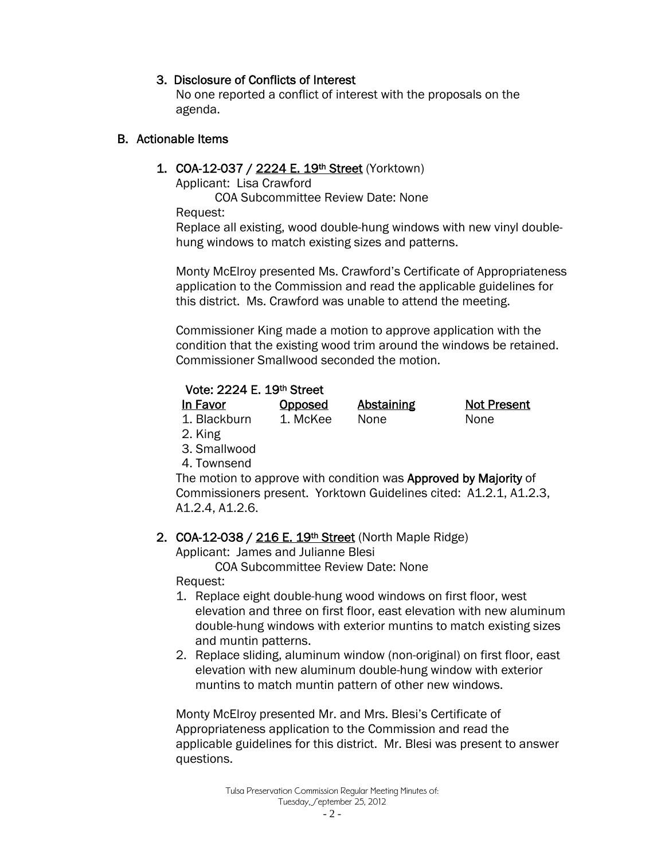#### 3. Disclosure of Conflicts of Interest

 No one reported a conflict of interest with the proposals on the agenda.

#### B. Actionable Items

#### 1. COA-12-037 / 2224 E. 19th Street (Yorktown)

Applicant: Lisa Crawford

COA Subcommittee Review Date: None

Request:

Replace all existing, wood double-hung windows with new vinyl doublehung windows to match existing sizes and patterns.

Monty McElroy presented Ms. Crawford's Certificate of Appropriateness application to the Commission and read the applicable guidelines for this district. Ms. Crawford was unable to attend the meeting.

Commissioner King made a motion to approve application with the condition that the existing wood trim around the windows be retained. Commissioner Smallwood seconded the motion.

#### Vote: 2224 E. 19th Street

| In Favor     | <b>Opposed</b> | Abstaining | <b>Not Present</b> |
|--------------|----------------|------------|--------------------|
| 1. Blackburn | 1. McKee       | None       | None               |

- 2. King
- 3. Smallwood
- 4. Townsend

The motion to approve with condition was **Approved by Majority** of Commissioners present. Yorktown Guidelines cited: A1.2.1, A1.2.3, A1.2.4, A1.2.6.

#### 2. COA-12-038 / 216 E. 19th Street (North Maple Ridge)

Applicant: James and Julianne Blesi

COA Subcommittee Review Date: None

Request:

- 1. Replace eight double-hung wood windows on first floor, west elevation and three on first floor, east elevation with new aluminum double-hung windows with exterior muntins to match existing sizes and muntin patterns.
- 2. Replace sliding, aluminum window (non-original) on first floor, east elevation with new aluminum double-hung window with exterior muntins to match muntin pattern of other new windows.

Monty McElroy presented Mr. and Mrs. Blesi's Certificate of Appropriateness application to the Commission and read the applicable guidelines for this district. Mr. Blesi was present to answer questions.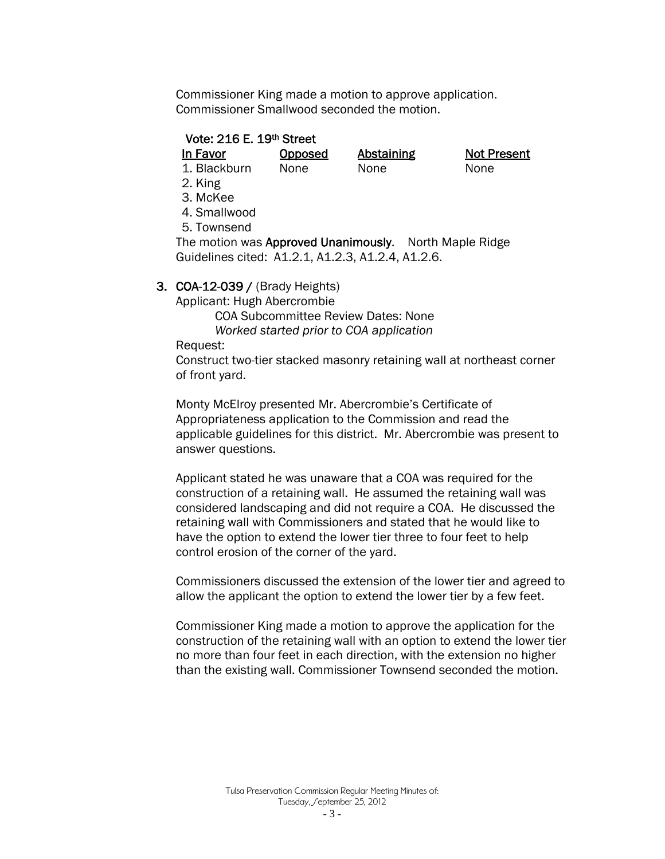Commissioner King made a motion to approve application. Commissioner Smallwood seconded the motion.

#### Vote: 216 E. 19th Street

In Favor Opposed Abstaining Not Present 1. Blackburn None None None

- 2. King
- 3. McKee
- 4. Smallwood
- 5. Townsend

The motion was Approved Unanimously. North Maple Ridge Guidelines cited: A1.2.1, A1.2.3, A1.2.4, A1.2.6.

#### 3. COA-12-039 / (Brady Heights)

Applicant: Hugh Abercrombie

COA Subcommittee Review Dates: None

*Worked started prior to COA application* 

Request:

Construct two-tier stacked masonry retaining wall at northeast corner of front yard.

Monty McElroy presented Mr. Abercrombie's Certificate of Appropriateness application to the Commission and read the applicable guidelines for this district. Mr. Abercrombie was present to answer questions.

Applicant stated he was unaware that a COA was required for the construction of a retaining wall. He assumed the retaining wall was considered landscaping and did not require a COA. He discussed the retaining wall with Commissioners and stated that he would like to have the option to extend the lower tier three to four feet to help control erosion of the corner of the yard.

Commissioners discussed the extension of the lower tier and agreed to allow the applicant the option to extend the lower tier by a few feet.

Commissioner King made a motion to approve the application for the construction of the retaining wall with an option to extend the lower tier no more than four feet in each direction, with the extension no higher than the existing wall. Commissioner Townsend seconded the motion.